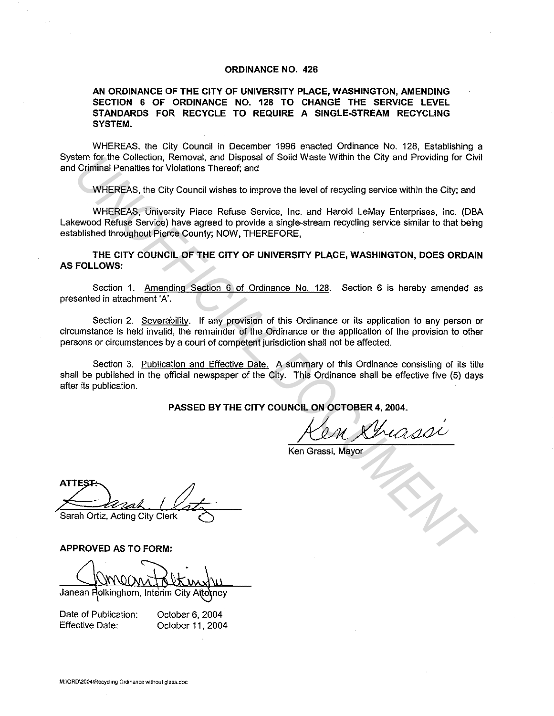## **ORDINANCE NO. 426**

## **AN ORDINANCE OF THE CITY OF UNIVERSITY PLACE, WASHINGTON, AMENDING SECTION 6 OF ORDINANCE NO. 128 TO CHANGE THE SERVICE LEVEL STANDARDS FOR RECYCLE TO REQUIRE A SINGLE-STREAM RECYCLING SYSTEM.**

WHEREAS, the City Council in December 1996 enacted Ordinance No. 128, Establishing a System for the Collection, Removal, and Disposal of Solid Waste Within the City and Providing for Civil and Criminal Penalties for Violations Thereof; and

WHEREAS, the City Council wishes to improve the level of recycling service within the City; and

WHEREAS, University Place Refuse Service, Inc. and Harold LeMay Enterprises, Inc. (OBA Lakewood Refuse Service) have agreed to provide a single-stream recycling service similar to that being established throughout Pierce County; NOW, THEREFORE, From the Collection, Removal, and Disposal of Solid Waste Within the City and Providing for Cive Collection, Removal, and Disposal of Solid Waste Within the City and Providing for Cive Coronal Remote.<br>
WHEREAS, the City Co

**THE CITY COUNCIL OF THE CITY OF UNIVERSITY PLACE, WASHINGTON, DOES ORDAIN AS FOLLOWS:** 

Section 1. Amending Section 6 of Ordinance No. 128. Section 6 is hereby amended as presented in attachment 'A'.

Section 2. Severability. If any provision of this Ordinance or its application to any person or circumstance is held invalid, the remainder of the Ordinance or the application of the provision to other persons or circumstances by a court of competent jurisdiction shall not be affected.

Section 3. Publication and Effective Date. A summary of this Ordinance consisting of its title shall be published in the official newspaper of the City. This Ordinance shall be effective five (5) days after its publication.

**PASSED BY THE CITY COUNCIL ON OCTOBER 4, 2004.** 

/0AL~ Grassi, Mayor

Ken Grassi, Mayor

**APPROVED AS TO FORM:** 

Janean Rolkinghorn, Interim City Attorney

Date of Publication: Effective Date:

October 6, 2004 October 11, 2004